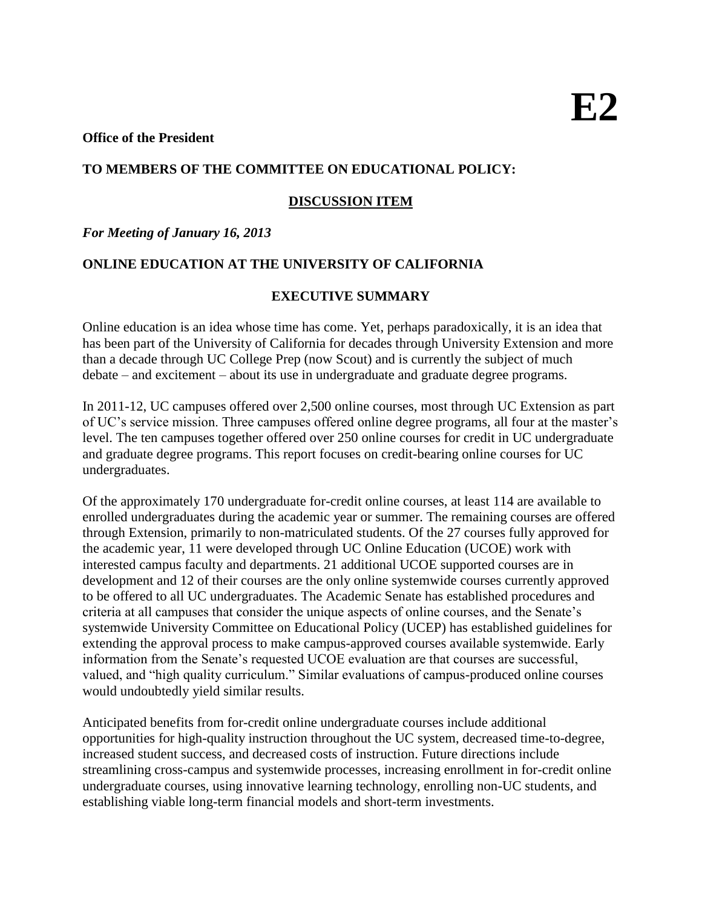### **Office of the President**

# **TO MEMBERS OF THE COMMITTEE ON EDUCATIONAL POLICY:**

# **DISCUSSION ITEM**

# *For Meeting of January 16, 2013*

# **ONLINE EDUCATION AT THE UNIVERSITY OF CALIFORNIA**

# **EXECUTIVE SUMMARY**

Online education is an idea whose time has come. Yet, perhaps paradoxically, it is an idea that has been part of the University of California for decades through University Extension and more than a decade through UC College Prep (now Scout) and is currently the subject of much debate – and excitement – about its use in undergraduate and graduate degree programs.

In 2011-12, UC campuses offered over 2,500 online courses, most through UC Extension as part of UC's service mission. Three campuses offered online degree programs, all four at the master's level. The ten campuses together offered over 250 online courses for credit in UC undergraduate and graduate degree programs. This report focuses on credit-bearing online courses for UC undergraduates.

Of the approximately 170 undergraduate for-credit online courses, at least 114 are available to enrolled undergraduates during the academic year or summer. The remaining courses are offered through Extension, primarily to non-matriculated students. Of the 27 courses fully approved for the academic year, 11 were developed through UC Online Education (UCOE) work with interested campus faculty and departments. 21 additional UCOE supported courses are in development and 12 of their courses are the only online systemwide courses currently approved to be offered to all UC undergraduates. The Academic Senate has established procedures and criteria at all campuses that consider the unique aspects of online courses, and the Senate's systemwide University Committee on Educational Policy (UCEP) has established guidelines for extending the approval process to make campus-approved courses available systemwide. Early information from the Senate's requested UCOE evaluation are that courses are successful, valued, and "high quality curriculum." Similar evaluations of campus-produced online courses would undoubtedly yield similar results.

Anticipated benefits from for-credit online undergraduate courses include additional opportunities for high-quality instruction throughout the UC system, decreased time-to-degree, increased student success, and decreased costs of instruction. Future directions include streamlining cross-campus and systemwide processes, increasing enrollment in for-credit online undergraduate courses, using innovative learning technology, enrolling non-UC students, and establishing viable long-term financial models and short-term investments.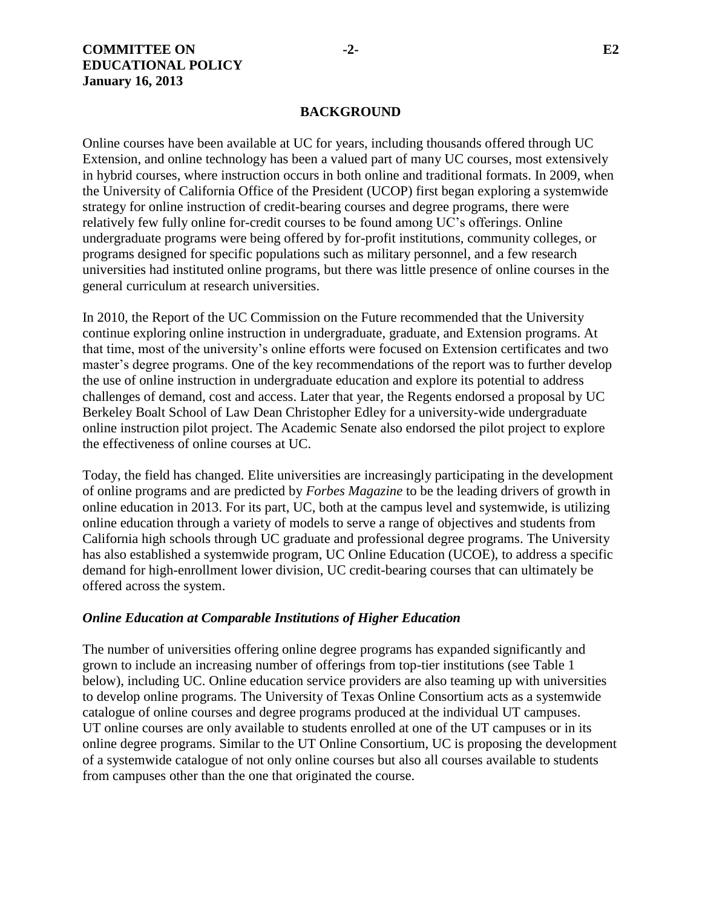### **BACKGROUND**

Online courses have been available at UC for years, including thousands offered through UC Extension, and online technology has been a valued part of many UC courses, most extensively in hybrid courses, where instruction occurs in both online and traditional formats. In 2009, when the University of California Office of the President (UCOP) first began exploring a systemwide strategy for online instruction of credit-bearing courses and degree programs, there were relatively few fully online for-credit courses to be found among UC's offerings. Online undergraduate programs were being offered by for-profit institutions, community colleges, or programs designed for specific populations such as military personnel, and a few research universities had instituted online programs, but there was little presence of online courses in the general curriculum at research universities.

In 2010, the Report of the UC Commission on the Future recommended that the University continue exploring online instruction in undergraduate, graduate, and Extension programs. At that time, most of the university's online efforts were focused on Extension certificates and two master's degree programs. One of the key recommendations of the report was to further develop the use of online instruction in undergraduate education and explore its potential to address challenges of demand, cost and access. Later that year, the Regents endorsed a proposal by UC Berkeley Boalt School of Law Dean Christopher Edley for a university-wide undergraduate online instruction pilot project. The Academic Senate also endorsed the pilot project to explore the effectiveness of online courses at UC.

Today, the field has changed. Elite universities are increasingly participating in the development of online programs and are predicted by *Forbes Magazine* to be the leading drivers of growth in online education in 2013. For its part, UC, both at the campus level and systemwide, is utilizing online education through a variety of models to serve a range of objectives and students from California high schools through UC graduate and professional degree programs. The University has also established a systemwide program, UC Online Education (UCOE), to address a specific demand for high-enrollment lower division, UC credit-bearing courses that can ultimately be offered across the system.

#### *Online Education at Comparable Institutions of Higher Education*

The number of universities offering online degree programs has expanded significantly and grown to include an increasing number of offerings from top-tier institutions (see Table 1 below), including UC. Online education service providers are also teaming up with universities to develop online programs. The University of Texas Online Consortium acts as a systemwide catalogue of online courses and degree programs produced at the individual UT campuses. UT online courses are only available to students enrolled at one of the UT campuses or in its online degree programs. Similar to the UT Online Consortium, UC is proposing the development of a systemwide catalogue of not only online courses but also all courses available to students from campuses other than the one that originated the course.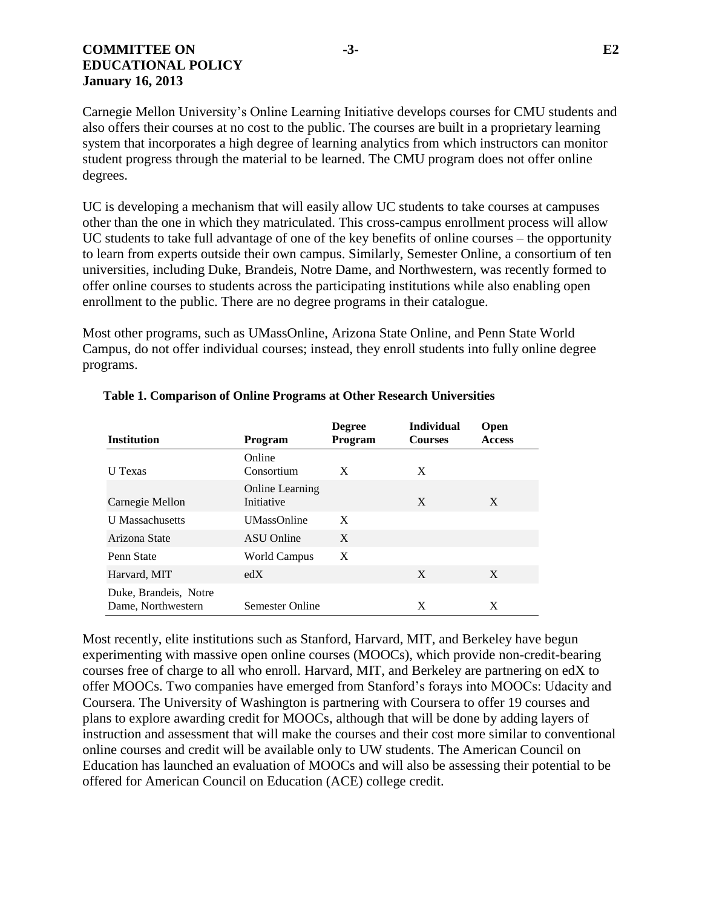# **COMMITTEE ON -3- E2 EDUCATIONAL POLICY January 16, 2013**

Carnegie Mellon University's Online Learning Initiative develops courses for CMU students and also offers their courses at no cost to the public. The courses are built in a proprietary learning system that incorporates a high degree of learning analytics from which instructors can monitor student progress through the material to be learned. The CMU program does not offer online degrees.

UC is developing a mechanism that will easily allow UC students to take courses at campuses other than the one in which they matriculated. This cross-campus enrollment process will allow UC students to take full advantage of one of the key benefits of online courses – the opportunity to learn from experts outside their own campus. Similarly, Semester Online, a consortium of ten universities, including Duke, Brandeis, Notre Dame, and Northwestern, was recently formed to offer online courses to students across the participating institutions while also enabling open enrollment to the public. There are no degree programs in their catalogue.

Most other programs, such as UMassOnline, Arizona State Online, and Penn State World Campus, do not offer individual courses; instead, they enroll students into fully online degree programs.

| <b>Institution</b>                          | Program                              | <b>Degree</b><br>Program | <b>Individual</b><br><b>Courses</b> | <b>Open</b><br><b>Access</b> |
|---------------------------------------------|--------------------------------------|--------------------------|-------------------------------------|------------------------------|
| U Texas                                     | Online<br>Consortium                 | X                        | X                                   |                              |
| Carnegie Mellon                             | <b>Online Learning</b><br>Initiative |                          | X                                   | X                            |
| <b>U</b> Massachusetts                      | <b>UMassOnline</b>                   | X                        |                                     |                              |
| Arizona State                               | <b>ASU</b> Online                    | X                        |                                     |                              |
| Penn State                                  | World Campus                         | X                        |                                     |                              |
| Harvard, MIT                                | edX                                  |                          | X                                   | X                            |
| Duke, Brandeis, Notre<br>Dame, Northwestern | Semester Online                      |                          | X                                   | X                            |

#### **Table 1. Comparison of Online Programs at Other Research Universities**

Most recently, elite institutions such as Stanford, Harvard, MIT, and Berkeley have begun experimenting with massive open online courses (MOOCs), which provide non-credit-bearing courses free of charge to all who enroll. Harvard, MIT, and Berkeley are partnering on edX to offer MOOCs. Two companies have emerged from Stanford's forays into MOOCs: Udacity and Coursera. The University of Washington is partnering with Coursera to offer 19 courses and plans to explore awarding credit for MOOCs, although that will be done by adding layers of instruction and assessment that will make the courses and their cost more similar to conventional online courses and credit will be available only to UW students. The American Council on Education has launched an evaluation of MOOCs and will also be assessing their potential to be offered for American Council on Education (ACE) college credit.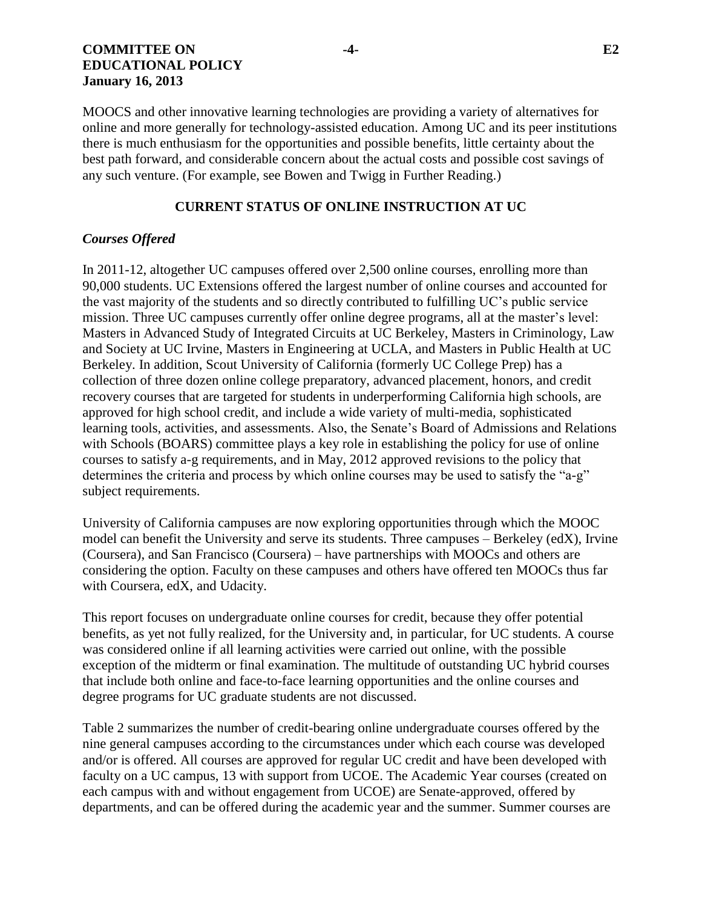# **COMMITTEE ON -4- E2 EDUCATIONAL POLICY January 16, 2013**

MOOCS and other innovative learning technologies are providing a variety of alternatives for online and more generally for technology-assisted education. Among UC and its peer institutions there is much enthusiasm for the opportunities and possible benefits, little certainty about the best path forward, and considerable concern about the actual costs and possible cost savings of any such venture. (For example, see Bowen and Twigg in Further Reading.)

# **CURRENT STATUS OF ONLINE INSTRUCTION AT UC**

# *Courses Offered*

In 2011-12, altogether UC campuses offered over 2,500 online courses, enrolling more than 90,000 students. UC Extensions offered the largest number of online courses and accounted for the vast majority of the students and so directly contributed to fulfilling UC's public service mission. Three UC campuses currently offer online degree programs, all at the master's level: Masters in Advanced Study of Integrated Circuits at UC Berkeley, Masters in Criminology, Law and Society at UC Irvine, Masters in Engineering at UCLA, and Masters in Public Health at UC Berkeley. In addition, Scout University of California (formerly UC College Prep) has a collection of three dozen online college preparatory, advanced placement, honors, and credit recovery courses that are targeted for students in underperforming California high schools, are approved for high school credit, and include a wide variety of multi-media, sophisticated learning tools, activities, and assessments. Also, the Senate's Board of Admissions and Relations with Schools (BOARS) committee plays a key role in establishing the policy for use of online courses to satisfy a-g requirements, and in May, 2012 approved revisions to the policy that determines the criteria and process by which online courses may be used to satisfy the "a-g" subject requirements.

University of California campuses are now exploring opportunities through which the MOOC model can benefit the University and serve its students. Three campuses – Berkeley (edX), Irvine (Coursera), and San Francisco (Coursera) – have partnerships with MOOCs and others are considering the option. Faculty on these campuses and others have offered ten MOOCs thus far with Coursera, edX, and Udacity.

This report focuses on undergraduate online courses for credit, because they offer potential benefits, as yet not fully realized, for the University and, in particular, for UC students. A course was considered online if all learning activities were carried out online, with the possible exception of the midterm or final examination. The multitude of outstanding UC hybrid courses that include both online and face-to-face learning opportunities and the online courses and degree programs for UC graduate students are not discussed.

Table 2 summarizes the number of credit-bearing online undergraduate courses offered by the nine general campuses according to the circumstances under which each course was developed and/or is offered. All courses are approved for regular UC credit and have been developed with faculty on a UC campus, 13 with support from UCOE. The Academic Year courses (created on each campus with and without engagement from UCOE) are Senate-approved, offered by departments, and can be offered during the academic year and the summer. Summer courses are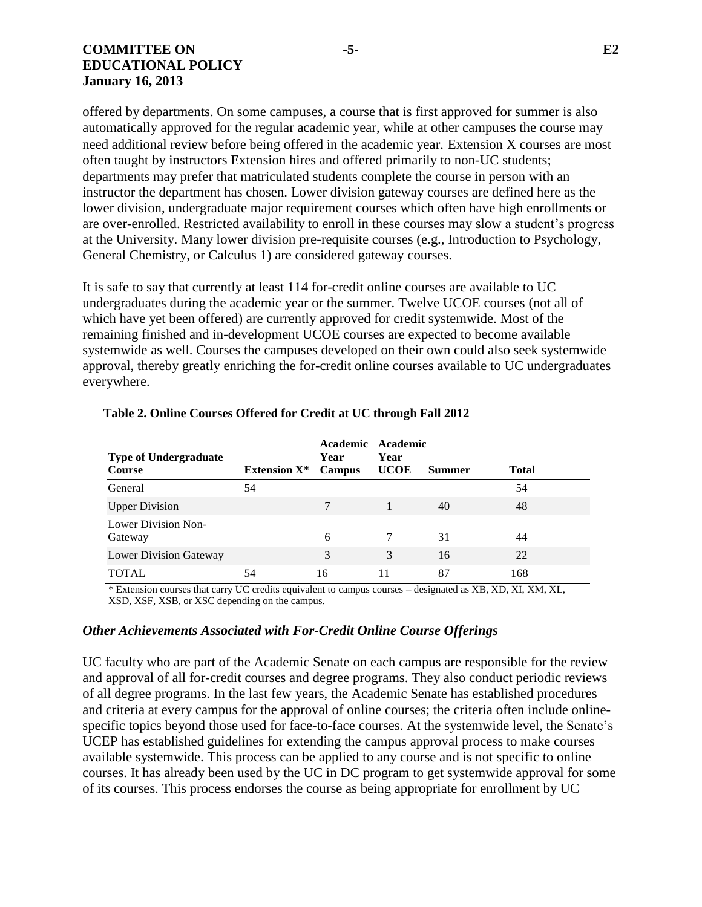## **COMMITTEE ON -5- E2 EDUCATIONAL POLICY January 16, 2013**

offered by departments. On some campuses, a course that is first approved for summer is also automatically approved for the regular academic year, while at other campuses the course may need additional review before being offered in the academic year*.* Extension X courses are most often taught by instructors Extension hires and offered primarily to non-UC students; departments may prefer that matriculated students complete the course in person with an instructor the department has chosen. Lower division gateway courses are defined here as the lower division, undergraduate major requirement courses which often have high enrollments or are over-enrolled. Restricted availability to enroll in these courses may slow a student's progress at the University. Many lower division pre-requisite courses (e.g., Introduction to Psychology, General Chemistry, or Calculus 1) are considered gateway courses.

It is safe to say that currently at least 114 for-credit online courses are available to UC undergraduates during the academic year or the summer. Twelve UCOE courses (not all of which have yet been offered) are currently approved for credit systemwide. Most of the remaining finished and in-development UCOE courses are expected to become available systemwide as well. Courses the campuses developed on their own could also seek systemwide approval, thereby greatly enriching the for-credit online courses available to UC undergraduates everywhere.

| <b>Type of Undergraduate</b>          |                     | Year   | Academic Academic<br>Year |               |              |  |
|---------------------------------------|---------------------|--------|---------------------------|---------------|--------------|--|
| Course                                | <b>Extension X*</b> | Campus | <b>UCOE</b>               | <b>Summer</b> | <b>Total</b> |  |
| General                               | 54                  |        |                           |               | 54           |  |
| <b>Upper Division</b>                 |                     | 7      |                           | 40            | 48           |  |
| <b>Lower Division Non-</b><br>Gateway |                     | 6      |                           | 31            | 44           |  |
| <b>Lower Division Gateway</b>         |                     | 3      | 3                         | 16            | 22           |  |
| <b>TOTAL</b>                          | 54                  | 16     |                           | 87            | 168          |  |

#### **Table 2. Online Courses Offered for Credit at UC through Fall 2012**

\* Extension courses that carry UC credits equivalent to campus courses – designated as XB, XD, XI, XM, XL, XSD, XSF, XSB, or XSC depending on the campus.

#### *Other Achievements Associated with For-Credit Online Course Offerings*

UC faculty who are part of the Academic Senate on each campus are responsible for the review and approval of all for-credit courses and degree programs. They also conduct periodic reviews of all degree programs. In the last few years, the Academic Senate has established procedures and criteria at every campus for the approval of online courses; the criteria often include onlinespecific topics beyond those used for face-to-face courses. At the systemwide level, the Senate's UCEP has established guidelines for extending the campus approval process to make courses available systemwide. This process can be applied to any course and is not specific to online courses. It has already been used by the UC in DC program to get systemwide approval for some of its courses. This process endorses the course as being appropriate for enrollment by UC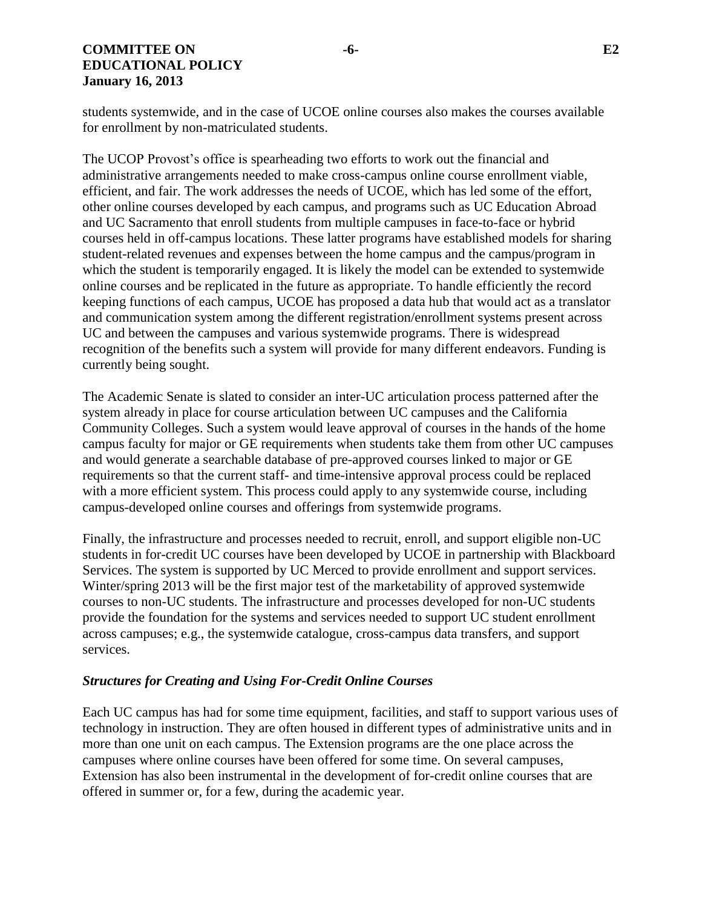# **COMMITTEE ON -6- E2 EDUCATIONAL POLICY January 16, 2013**

students systemwide, and in the case of UCOE online courses also makes the courses available for enrollment by non-matriculated students.

The UCOP Provost's office is spearheading two efforts to work out the financial and administrative arrangements needed to make cross-campus online course enrollment viable, efficient, and fair. The work addresses the needs of UCOE, which has led some of the effort, other online courses developed by each campus, and programs such as UC Education Abroad and UC Sacramento that enroll students from multiple campuses in face-to-face or hybrid courses held in off-campus locations. These latter programs have established models for sharing student-related revenues and expenses between the home campus and the campus/program in which the student is temporarily engaged. It is likely the model can be extended to systemwide online courses and be replicated in the future as appropriate. To handle efficiently the record keeping functions of each campus, UCOE has proposed a data hub that would act as a translator and communication system among the different registration/enrollment systems present across UC and between the campuses and various systemwide programs. There is widespread recognition of the benefits such a system will provide for many different endeavors. Funding is currently being sought.

The Academic Senate is slated to consider an inter-UC articulation process patterned after the system already in place for course articulation between UC campuses and the California Community Colleges. Such a system would leave approval of courses in the hands of the home campus faculty for major or GE requirements when students take them from other UC campuses and would generate a searchable database of pre-approved courses linked to major or GE requirements so that the current staff- and time-intensive approval process could be replaced with a more efficient system. This process could apply to any systemwide course, including campus-developed online courses and offerings from systemwide programs.

Finally, the infrastructure and processes needed to recruit, enroll, and support eligible non-UC students in for-credit UC courses have been developed by UCOE in partnership with Blackboard Services. The system is supported by UC Merced to provide enrollment and support services. Winter/spring 2013 will be the first major test of the marketability of approved systemwide courses to non-UC students. The infrastructure and processes developed for non-UC students provide the foundation for the systems and services needed to support UC student enrollment across campuses; e.g., the systemwide catalogue, cross-campus data transfers, and support services.

# *Structures for Creating and Using For-Credit Online Courses*

Each UC campus has had for some time equipment, facilities, and staff to support various uses of technology in instruction. They are often housed in different types of administrative units and in more than one unit on each campus. The Extension programs are the one place across the campuses where online courses have been offered for some time. On several campuses, Extension has also been instrumental in the development of for-credit online courses that are offered in summer or, for a few, during the academic year.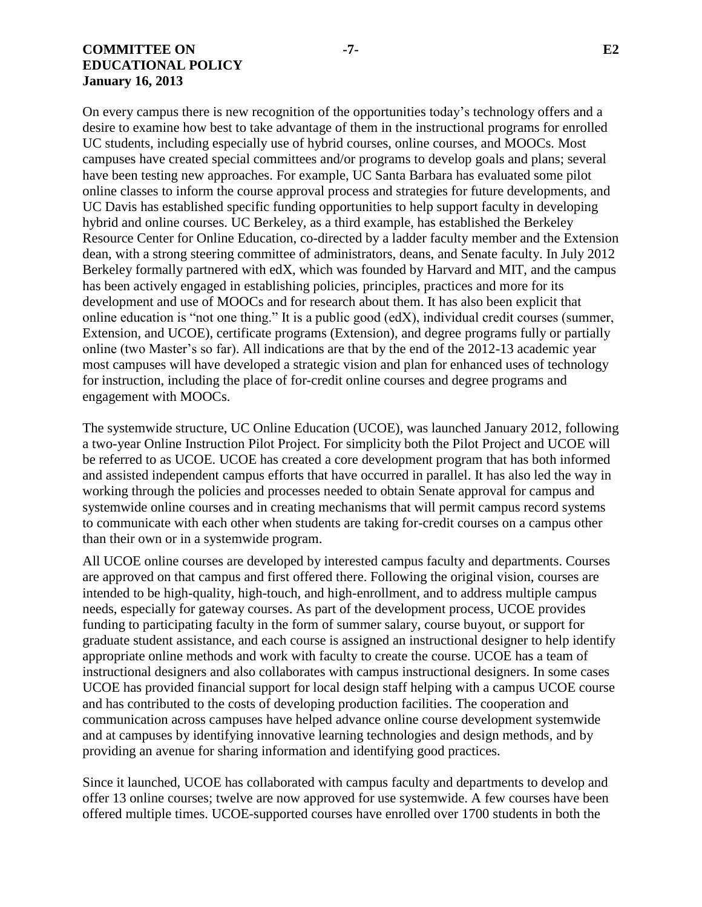## **COMMITTEE ON -7- E2 EDUCATIONAL POLICY January 16, 2013**

On every campus there is new recognition of the opportunities today's technology offers and a desire to examine how best to take advantage of them in the instructional programs for enrolled UC students, including especially use of hybrid courses, online courses, and MOOCs. Most campuses have created special committees and/or programs to develop goals and plans; several have been testing new approaches. For example, UC Santa Barbara has evaluated some pilot online classes to inform the course approval process and strategies for future developments, and UC Davis has established specific funding opportunities to help support faculty in developing hybrid and online courses. UC Berkeley, as a third example, has established the Berkeley Resource Center for Online Education, co-directed by a ladder faculty member and the Extension dean, with a strong steering committee of administrators, deans, and Senate faculty. In July 2012 Berkeley formally partnered with edX, which was founded by Harvard and MIT, and the campus has been actively engaged in establishing policies, principles, practices and more for its development and use of MOOCs and for research about them. It has also been explicit that online education is "not one thing." It is a public good (edX), individual credit courses (summer, Extension, and UCOE), certificate programs (Extension), and degree programs fully or partially online (two Master's so far). All indications are that by the end of the 2012-13 academic year most campuses will have developed a strategic vision and plan for enhanced uses of technology for instruction, including the place of for-credit online courses and degree programs and engagement with MOOCs.

The systemwide structure, UC Online Education (UCOE), was launched January 2012, following a two-year Online Instruction Pilot Project. For simplicity both the Pilot Project and UCOE will be referred to as UCOE. UCOE has created a core development program that has both informed and assisted independent campus efforts that have occurred in parallel. It has also led the way in working through the policies and processes needed to obtain Senate approval for campus and systemwide online courses and in creating mechanisms that will permit campus record systems to communicate with each other when students are taking for-credit courses on a campus other than their own or in a systemwide program.

All UCOE online courses are developed by interested campus faculty and departments. Courses are approved on that campus and first offered there. Following the original vision, courses are intended to be high-quality, high-touch, and high-enrollment, and to address multiple campus needs, especially for gateway courses. As part of the development process, UCOE provides funding to participating faculty in the form of summer salary, course buyout, or support for graduate student assistance, and each course is assigned an instructional designer to help identify appropriate online methods and work with faculty to create the course. UCOE has a team of instructional designers and also collaborates with campus instructional designers. In some cases UCOE has provided financial support for local design staff helping with a campus UCOE course and has contributed to the costs of developing production facilities. The cooperation and communication across campuses have helped advance online course development systemwide and at campuses by identifying innovative learning technologies and design methods, and by providing an avenue for sharing information and identifying good practices.

Since it launched, UCOE has collaborated with campus faculty and departments to develop and offer 13 online courses; twelve are now approved for use systemwide. A few courses have been offered multiple times. UCOE-supported courses have enrolled over 1700 students in both the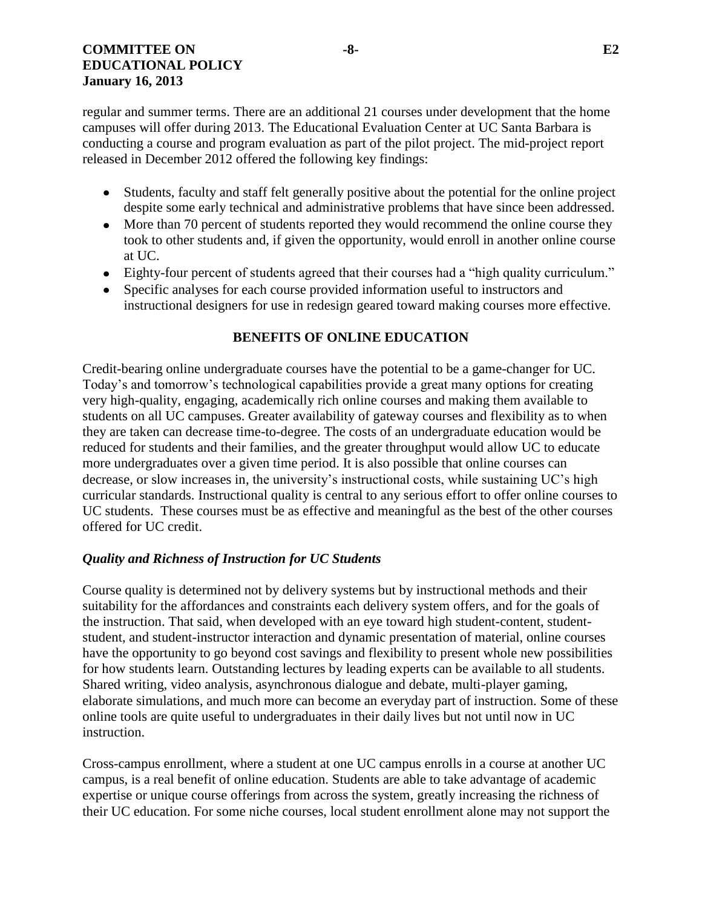regular and summer terms. There are an additional 21 courses under development that the home campuses will offer during 2013. The Educational Evaluation Center at UC Santa Barbara is conducting a course and program evaluation as part of the pilot project. The mid-project report released in December 2012 offered the following key findings:

- Students, faculty and staff felt generally positive about the potential for the online project despite some early technical and administrative problems that have since been addressed.
- More than 70 percent of students reported they would recommend the online course they took to other students and, if given the opportunity, would enroll in another online course at UC.
- Eighty-four percent of students agreed that their courses had a "high quality curriculum."
- Specific analyses for each course provided information useful to instructors and instructional designers for use in redesign geared toward making courses more effective.

# **BENEFITS OF ONLINE EDUCATION**

Credit-bearing online undergraduate courses have the potential to be a game-changer for UC. Today's and tomorrow's technological capabilities provide a great many options for creating very high-quality, engaging, academically rich online courses and making them available to students on all UC campuses. Greater availability of gateway courses and flexibility as to when they are taken can decrease time-to-degree. The costs of an undergraduate education would be reduced for students and their families, and the greater throughput would allow UC to educate more undergraduates over a given time period. It is also possible that online courses can decrease, or slow increases in, the university's instructional costs, while sustaining UC's high curricular standards. Instructional quality is central to any serious effort to offer online courses to UC students. These courses must be as effective and meaningful as the best of the other courses offered for UC credit.

# *Quality and Richness of Instruction for UC Students*

Course quality is determined not by delivery systems but by instructional methods and their suitability for the affordances and constraints each delivery system offers, and for the goals of the instruction. That said, when developed with an eye toward high student-content, studentstudent, and student-instructor interaction and dynamic presentation of material, online courses have the opportunity to go beyond cost savings and flexibility to present whole new possibilities for how students learn. Outstanding lectures by leading experts can be available to all students. Shared writing, video analysis, asynchronous dialogue and debate, multi-player gaming, elaborate simulations, and much more can become an everyday part of instruction. Some of these online tools are quite useful to undergraduates in their daily lives but not until now in UC instruction.

Cross-campus enrollment, where a student at one UC campus enrolls in a course at another UC campus, is a real benefit of online education. Students are able to take advantage of academic expertise or unique course offerings from across the system, greatly increasing the richness of their UC education. For some niche courses, local student enrollment alone may not support the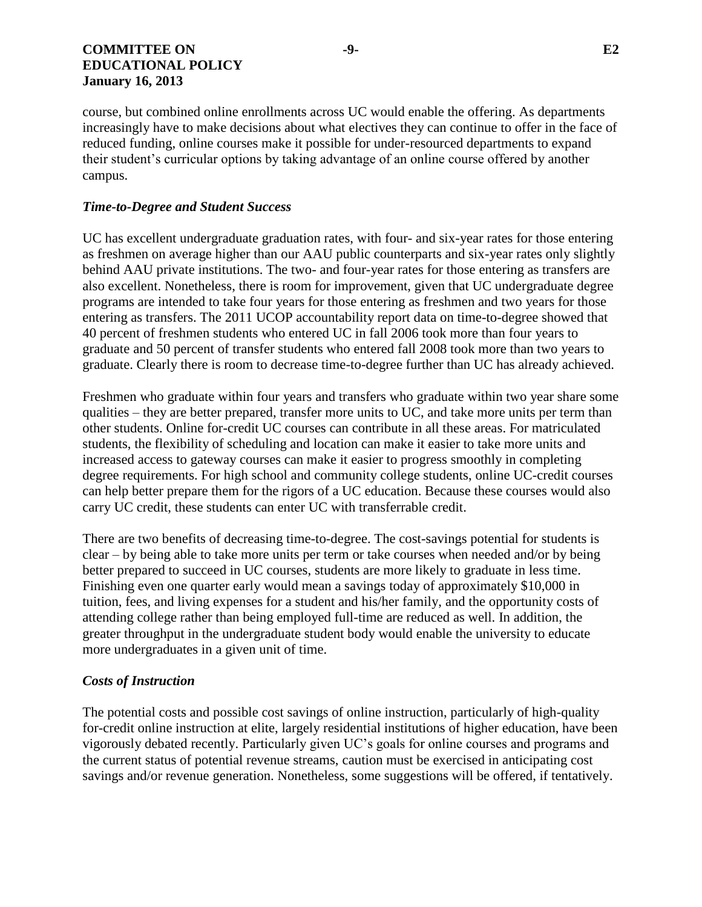course, but combined online enrollments across UC would enable the offering. As departments increasingly have to make decisions about what electives they can continue to offer in the face of reduced funding, online courses make it possible for under-resourced departments to expand their student's curricular options by taking advantage of an online course offered by another campus.

# *Time-to-Degree and Student Success*

UC has excellent undergraduate graduation rates, with four- and six-year rates for those entering as freshmen on average higher than our AAU public counterparts and six-year rates only slightly behind AAU private institutions. The two- and four-year rates for those entering as transfers are also excellent. Nonetheless, there is room for improvement, given that UC undergraduate degree programs are intended to take four years for those entering as freshmen and two years for those entering as transfers. The 2011 UCOP accountability report data on time-to-degree showed that 40 percent of freshmen students who entered UC in fall 2006 took more than four years to graduate and 50 percent of transfer students who entered fall 2008 took more than two years to graduate. Clearly there is room to decrease time-to-degree further than UC has already achieved.

Freshmen who graduate within four years and transfers who graduate within two year share some qualities – they are better prepared, transfer more units to UC, and take more units per term than other students. Online for-credit UC courses can contribute in all these areas. For matriculated students, the flexibility of scheduling and location can make it easier to take more units and increased access to gateway courses can make it easier to progress smoothly in completing degree requirements. For high school and community college students, online UC-credit courses can help better prepare them for the rigors of a UC education. Because these courses would also carry UC credit, these students can enter UC with transferrable credit.

There are two benefits of decreasing time-to-degree. The cost-savings potential for students is clear – by being able to take more units per term or take courses when needed and/or by being better prepared to succeed in UC courses, students are more likely to graduate in less time. Finishing even one quarter early would mean a savings today of approximately \$10,000 in tuition, fees, and living expenses for a student and his/her family, and the opportunity costs of attending college rather than being employed full-time are reduced as well. In addition, the greater throughput in the undergraduate student body would enable the university to educate more undergraduates in a given unit of time.

# *Costs of Instruction*

The potential costs and possible cost savings of online instruction, particularly of high-quality for-credit online instruction at elite, largely residential institutions of higher education, have been vigorously debated recently. Particularly given UC's goals for online courses and programs and the current status of potential revenue streams, caution must be exercised in anticipating cost savings and/or revenue generation. Nonetheless, some suggestions will be offered, if tentatively.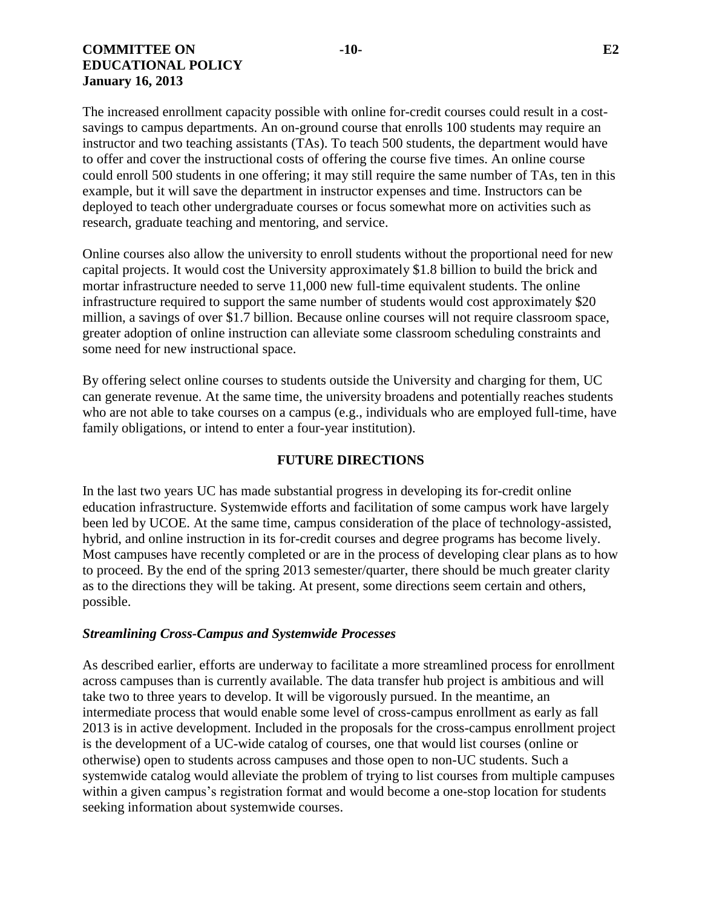# **COMMITTEE ON -10- E2 EDUCATIONAL POLICY January 16, 2013**

The increased enrollment capacity possible with online for-credit courses could result in a costsavings to campus departments. An on-ground course that enrolls 100 students may require an instructor and two teaching assistants (TAs). To teach 500 students, the department would have to offer and cover the instructional costs of offering the course five times. An online course could enroll 500 students in one offering; it may still require the same number of TAs, ten in this example, but it will save the department in instructor expenses and time. Instructors can be deployed to teach other undergraduate courses or focus somewhat more on activities such as research, graduate teaching and mentoring, and service.

Online courses also allow the university to enroll students without the proportional need for new capital projects. It would cost the University approximately \$1.8 billion to build the brick and mortar infrastructure needed to serve 11,000 new full-time equivalent students. The online infrastructure required to support the same number of students would cost approximately \$20 million, a savings of over \$1.7 billion. Because online courses will not require classroom space, greater adoption of online instruction can alleviate some classroom scheduling constraints and some need for new instructional space.

By offering select online courses to students outside the University and charging for them, UC can generate revenue. At the same time, the university broadens and potentially reaches students who are not able to take courses on a campus (e.g., individuals who are employed full-time, have family obligations, or intend to enter a four-year institution).

# **FUTURE DIRECTIONS**

In the last two years UC has made substantial progress in developing its for-credit online education infrastructure. Systemwide efforts and facilitation of some campus work have largely been led by UCOE. At the same time, campus consideration of the place of technology-assisted, hybrid, and online instruction in its for-credit courses and degree programs has become lively. Most campuses have recently completed or are in the process of developing clear plans as to how to proceed. By the end of the spring 2013 semester/quarter, there should be much greater clarity as to the directions they will be taking. At present, some directions seem certain and others, possible.

# *Streamlining Cross-Campus and Systemwide Processes*

As described earlier, efforts are underway to facilitate a more streamlined process for enrollment across campuses than is currently available. The data transfer hub project is ambitious and will take two to three years to develop. It will be vigorously pursued. In the meantime, an intermediate process that would enable some level of cross-campus enrollment as early as fall 2013 is in active development. Included in the proposals for the cross-campus enrollment project is the development of a UC-wide catalog of courses, one that would list courses (online or otherwise) open to students across campuses and those open to non-UC students. Such a systemwide catalog would alleviate the problem of trying to list courses from multiple campuses within a given campus's registration format and would become a one-stop location for students seeking information about systemwide courses.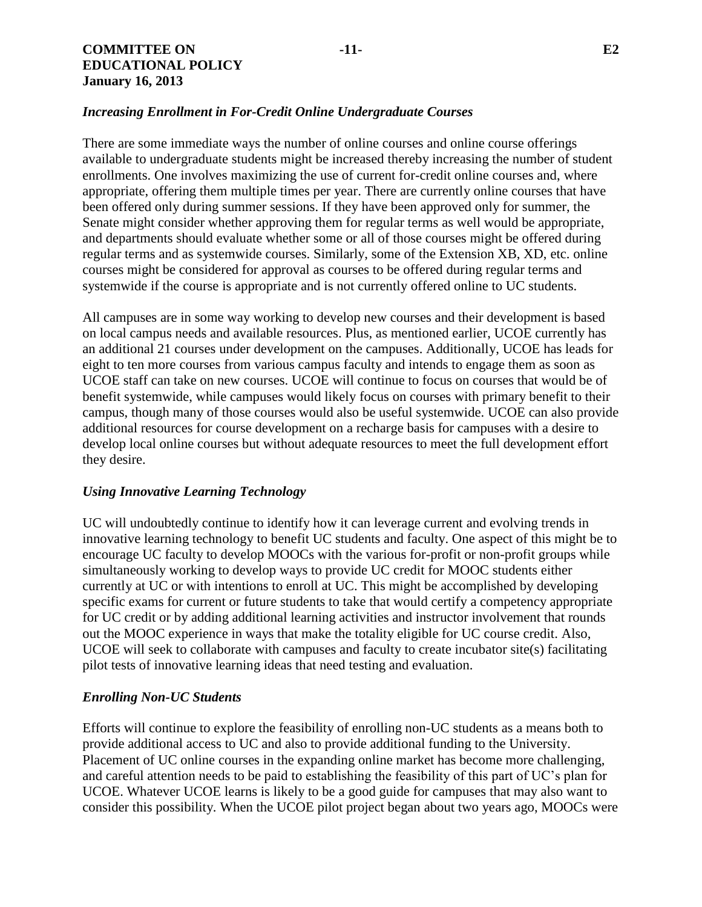## *Increasing Enrollment in For-Credit Online Undergraduate Courses*

There are some immediate ways the number of online courses and online course offerings available to undergraduate students might be increased thereby increasing the number of student enrollments. One involves maximizing the use of current for-credit online courses and, where appropriate, offering them multiple times per year. There are currently online courses that have been offered only during summer sessions. If they have been approved only for summer, the Senate might consider whether approving them for regular terms as well would be appropriate, and departments should evaluate whether some or all of those courses might be offered during regular terms and as systemwide courses. Similarly, some of the Extension XB, XD, etc. online courses might be considered for approval as courses to be offered during regular terms and systemwide if the course is appropriate and is not currently offered online to UC students.

All campuses are in some way working to develop new courses and their development is based on local campus needs and available resources. Plus, as mentioned earlier, UCOE currently has an additional 21 courses under development on the campuses. Additionally, UCOE has leads for eight to ten more courses from various campus faculty and intends to engage them as soon as UCOE staff can take on new courses. UCOE will continue to focus on courses that would be of benefit systemwide, while campuses would likely focus on courses with primary benefit to their campus, though many of those courses would also be useful systemwide. UCOE can also provide additional resources for course development on a recharge basis for campuses with a desire to develop local online courses but without adequate resources to meet the full development effort they desire.

# *Using Innovative Learning Technology*

UC will undoubtedly continue to identify how it can leverage current and evolving trends in innovative learning technology to benefit UC students and faculty. One aspect of this might be to encourage UC faculty to develop MOOCs with the various for-profit or non-profit groups while simultaneously working to develop ways to provide UC credit for MOOC students either currently at UC or with intentions to enroll at UC. This might be accomplished by developing specific exams for current or future students to take that would certify a competency appropriate for UC credit or by adding additional learning activities and instructor involvement that rounds out the MOOC experience in ways that make the totality eligible for UC course credit. Also, UCOE will seek to collaborate with campuses and faculty to create incubator site(s) facilitating pilot tests of innovative learning ideas that need testing and evaluation.

#### *Enrolling Non-UC Students*

Efforts will continue to explore the feasibility of enrolling non-UC students as a means both to provide additional access to UC and also to provide additional funding to the University. Placement of UC online courses in the expanding online market has become more challenging, and careful attention needs to be paid to establishing the feasibility of this part of UC's plan for UCOE. Whatever UCOE learns is likely to be a good guide for campuses that may also want to consider this possibility. When the UCOE pilot project began about two years ago, MOOCs were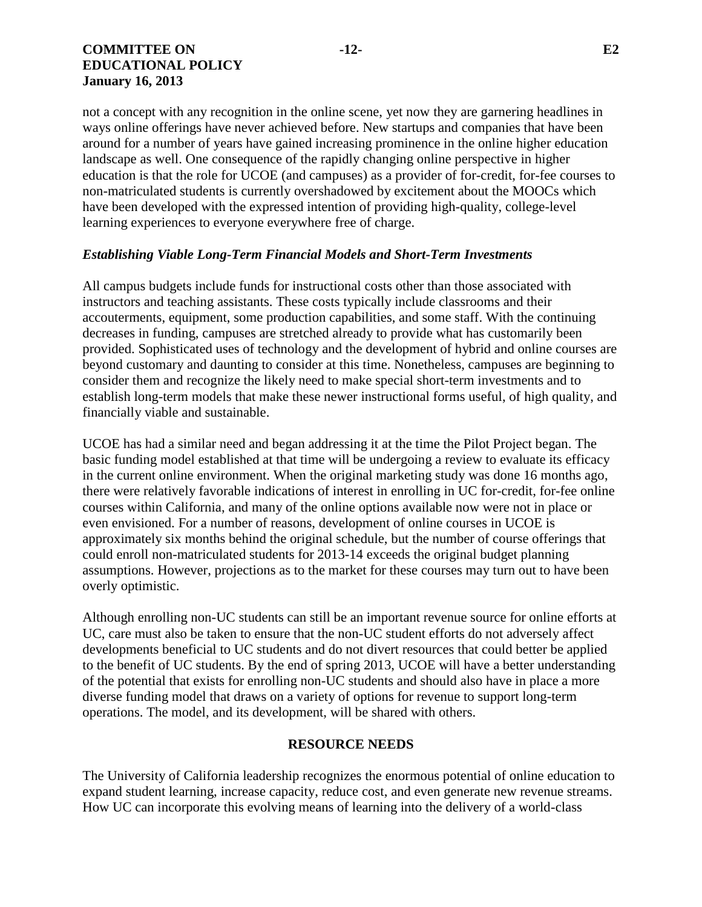not a concept with any recognition in the online scene, yet now they are garnering headlines in ways online offerings have never achieved before. New startups and companies that have been around for a number of years have gained increasing prominence in the online higher education landscape as well. One consequence of the rapidly changing online perspective in higher education is that the role for UCOE (and campuses) as a provider of for-credit, for-fee courses to non-matriculated students is currently overshadowed by excitement about the MOOCs which have been developed with the expressed intention of providing high-quality, college-level learning experiences to everyone everywhere free of charge.

### *Establishing Viable Long-Term Financial Models and Short-Term Investments*

All campus budgets include funds for instructional costs other than those associated with instructors and teaching assistants. These costs typically include classrooms and their accouterments, equipment, some production capabilities, and some staff. With the continuing decreases in funding, campuses are stretched already to provide what has customarily been provided. Sophisticated uses of technology and the development of hybrid and online courses are beyond customary and daunting to consider at this time. Nonetheless, campuses are beginning to consider them and recognize the likely need to make special short-term investments and to establish long-term models that make these newer instructional forms useful, of high quality, and financially viable and sustainable.

UCOE has had a similar need and began addressing it at the time the Pilot Project began. The basic funding model established at that time will be undergoing a review to evaluate its efficacy in the current online environment. When the original marketing study was done 16 months ago, there were relatively favorable indications of interest in enrolling in UC for-credit, for-fee online courses within California, and many of the online options available now were not in place or even envisioned. For a number of reasons, development of online courses in UCOE is approximately six months behind the original schedule, but the number of course offerings that could enroll non-matriculated students for 2013-14 exceeds the original budget planning assumptions. However, projections as to the market for these courses may turn out to have been overly optimistic.

Although enrolling non-UC students can still be an important revenue source for online efforts at UC, care must also be taken to ensure that the non-UC student efforts do not adversely affect developments beneficial to UC students and do not divert resources that could better be applied to the benefit of UC students. By the end of spring 2013, UCOE will have a better understanding of the potential that exists for enrolling non-UC students and should also have in place a more diverse funding model that draws on a variety of options for revenue to support long-term operations. The model, and its development, will be shared with others.

#### **RESOURCE NEEDS**

The University of California leadership recognizes the enormous potential of online education to expand student learning, increase capacity, reduce cost, and even generate new revenue streams. How UC can incorporate this evolving means of learning into the delivery of a world-class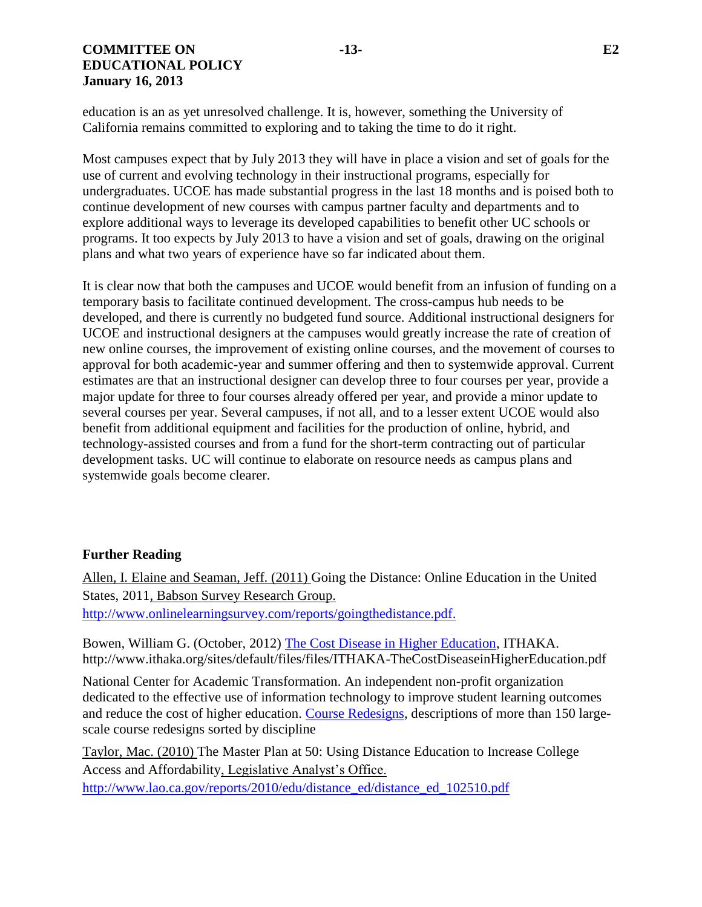education is an as yet unresolved challenge. It is, however, something the University of California remains committed to exploring and to taking the time to do it right.

Most campuses expect that by July 2013 they will have in place a vision and set of goals for the use of current and evolving technology in their instructional programs, especially for undergraduates. UCOE has made substantial progress in the last 18 months and is poised both to continue development of new courses with campus partner faculty and departments and to explore additional ways to leverage its developed capabilities to benefit other UC schools or programs. It too expects by July 2013 to have a vision and set of goals, drawing on the original plans and what two years of experience have so far indicated about them.

It is clear now that both the campuses and UCOE would benefit from an infusion of funding on a temporary basis to facilitate continued development. The cross-campus hub needs to be developed, and there is currently no budgeted fund source. Additional instructional designers for UCOE and instructional designers at the campuses would greatly increase the rate of creation of new online courses, the improvement of existing online courses, and the movement of courses to approval for both academic-year and summer offering and then to systemwide approval. Current estimates are that an instructional designer can develop three to four courses per year, provide a major update for three to four courses already offered per year, and provide a minor update to several courses per year. Several campuses, if not all, and to a lesser extent UCOE would also benefit from additional equipment and facilities for the production of online, hybrid, and technology-assisted courses and from a fund for the short-term contracting out of particular development tasks. UC will continue to elaborate on resource needs as campus plans and systemwide goals become clearer.

# **Further Reading**

Allen, I. Elaine and Seaman, Jeff. (2011) Going the Distance: Online Education in the United States, 2011, Babson Survey Research Group. [http://www.onlinelearningsurvey.com/reports/goingthedistance.pdf.](http://www.onlinelearningsurvey.com/reports/goingthedistance.pdf)

Bowen, William G. (October, 2012) [The Cost Disease in Higher Education,](http://www.ithaka.org/sites/default/files/files/ITHAKA-TheCostDiseaseinHigherEducation.pdf) ITHAKA. http://www.ithaka.org/sites/default/files/files/ITHAKA-TheCostDiseaseinHigherEducation.pdf

National Center for Academic Transformation. An independent non-profit organization dedicated to the effective use of information technology to improve student learning outcomes and reduce the cost of higher education. [Course Redesigns,](http://www.thencat.org/PCR/Proj_Discipline_all.html) descriptions of more than 150 largescale course redesigns sorted by discipline

Taylor, Mac. (2010) The Master Plan at 50: Using Distance Education to Increase College Access and Affordability, Legislative Analyst's Office.